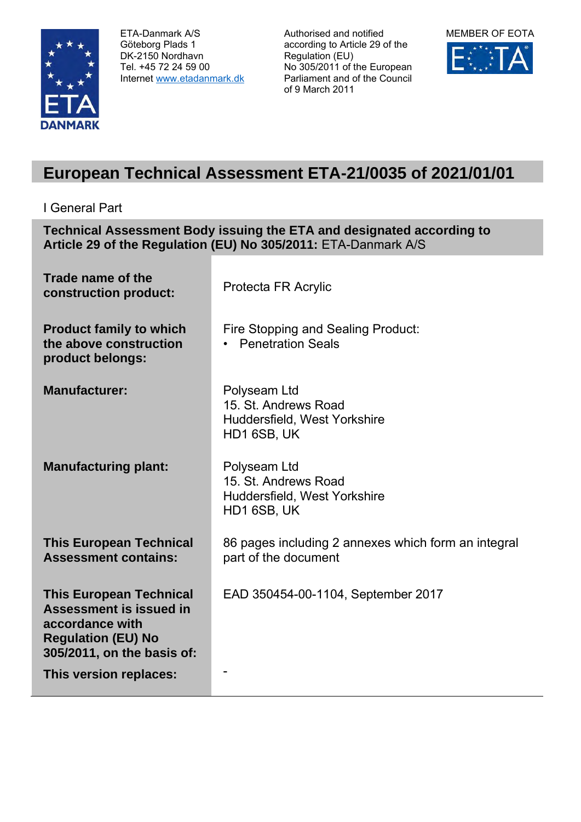

ETA-Danmark A/S Göteborg Plads 1 DK-2150 Nordhavn Tel. +45 72 24 59 00 Internet [www.etadanmark.dk](http://www.etadanmark.dk/)

Authorised and notified according to Article 29 of the Regulation (EU) No 305/2011 of the European Parliament and of the Council of 9 March 2011



## **European Technical Assessment ETA-21/0035 of 2021/01/01**

I General Part

**Technical Assessment Body issuing the ETA and designated according to Article 29 of the Regulation (EU) No 305/2011:** ETA-Danmark A/S

| Trade name of the<br>construction product:                                                                                              | Protecta FR Acrylic                                                                 |
|-----------------------------------------------------------------------------------------------------------------------------------------|-------------------------------------------------------------------------------------|
| <b>Product family to which</b><br>the above construction<br>product belongs:                                                            | Fire Stopping and Sealing Product:<br><b>Penetration Seals</b>                      |
| <b>Manufacturer:</b>                                                                                                                    | Polyseam Ltd<br>15. St. Andrews Road<br>Huddersfield, West Yorkshire<br>HD1 6SB, UK |
| <b>Manufacturing plant:</b>                                                                                                             | Polyseam Ltd<br>15. St. Andrews Road<br>Huddersfield, West Yorkshire<br>HD1 6SB, UK |
| <b>This European Technical</b><br><b>Assessment contains:</b>                                                                           | 86 pages including 2 annexes which form an integral<br>part of the document         |
| <b>This European Technical</b><br>Assessment is issued in<br>accordance with<br><b>Regulation (EU) No</b><br>305/2011, on the basis of: | EAD 350454-00-1104, September 2017                                                  |
| This version replaces:                                                                                                                  |                                                                                     |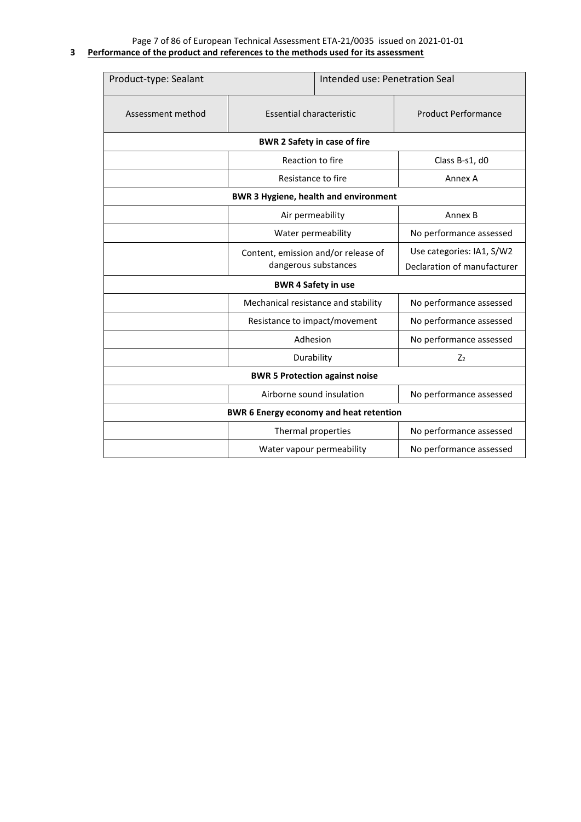Page 7 of 86 of European Technical Assessment ETA-21/0035 issued on 2021-01-01

| 3 Performance of the product and references to the methods used for its assessment |  |  |  |
|------------------------------------------------------------------------------------|--|--|--|
|                                                                                    |  |  |  |

| Product-type: Sealant                          |                                                             | Intended use: Penetration Seal |                                                          |  |  |  |  |
|------------------------------------------------|-------------------------------------------------------------|--------------------------------|----------------------------------------------------------|--|--|--|--|
| Assessment method                              | Essential characteristic                                    |                                | <b>Product Performance</b>                               |  |  |  |  |
|                                                | <b>BWR 2 Safety in case of fire</b>                         |                                |                                                          |  |  |  |  |
|                                                | Reaction to fire                                            |                                | Class B-s1, d0                                           |  |  |  |  |
|                                                | Resistance to fire                                          |                                | Annex A                                                  |  |  |  |  |
| <b>BWR 3 Hygiene, health and environment</b>   |                                                             |                                |                                                          |  |  |  |  |
|                                                | Air permeability                                            |                                | Annex B                                                  |  |  |  |  |
|                                                | Water permeability                                          |                                | No performance assessed                                  |  |  |  |  |
|                                                | Content, emission and/or release of<br>dangerous substances |                                | Use categories: IA1, S/W2<br>Declaration of manufacturer |  |  |  |  |
| <b>BWR 4 Safety in use</b>                     |                                                             |                                |                                                          |  |  |  |  |
|                                                | Mechanical resistance and stability                         |                                | No performance assessed                                  |  |  |  |  |
|                                                | Resistance to impact/movement                               |                                | No performance assessed                                  |  |  |  |  |
|                                                | Adhesion                                                    |                                | No performance assessed                                  |  |  |  |  |
| Durability                                     |                                                             | Z <sub>2</sub>                 |                                                          |  |  |  |  |
| <b>BWR 5 Protection against noise</b>          |                                                             |                                |                                                          |  |  |  |  |
| Airborne sound insulation                      |                                                             |                                | No performance assessed                                  |  |  |  |  |
| <b>BWR 6 Energy economy and heat retention</b> |                                                             |                                |                                                          |  |  |  |  |
| Thermal properties                             |                                                             |                                | No performance assessed                                  |  |  |  |  |
|                                                | Water vapour permeability                                   |                                | No performance assessed                                  |  |  |  |  |